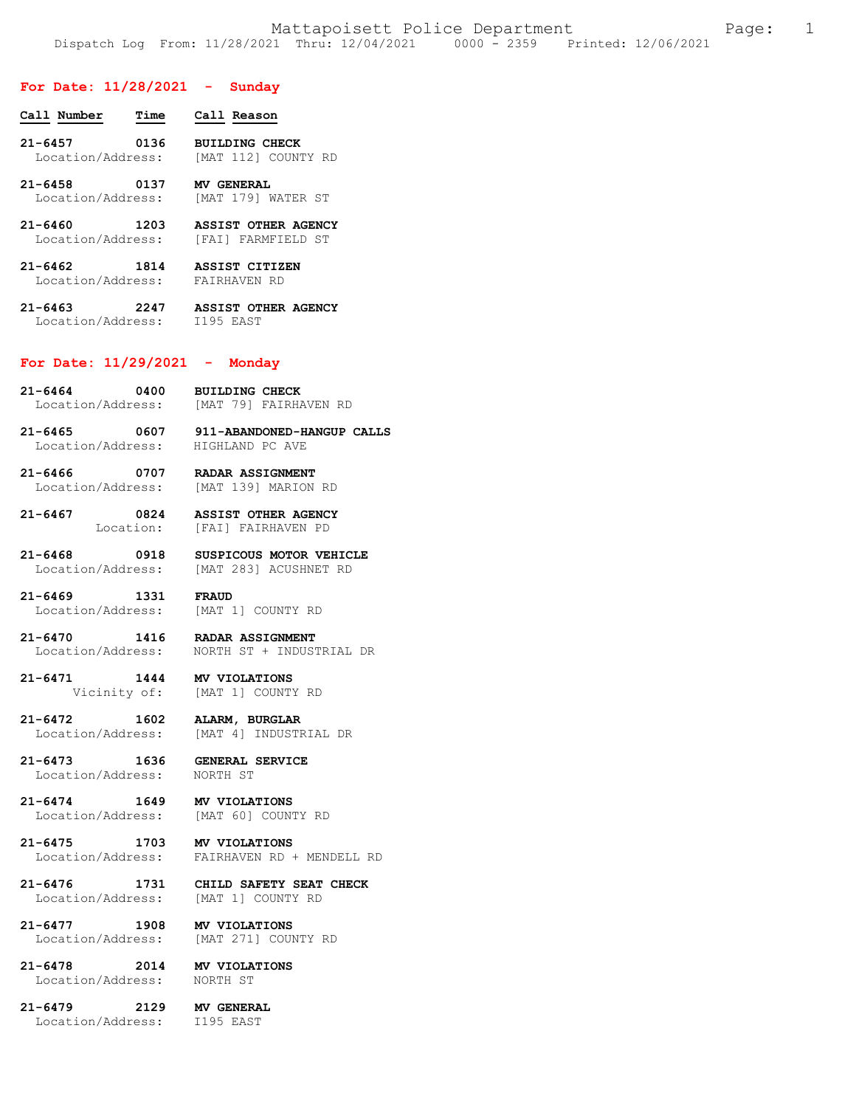## **For Date: 11/28/2021 - Sunday**

| Call Number       | Time | Call Reason           |
|-------------------|------|-----------------------|
| $21 - 6457$       | 0136 | <b>BUILDING CHECK</b> |
| Location/Address: |      | [MAT 112] COUNTY RD   |

**21-6458 0137 MV GENERAL**  Location/Address: [MAT 179] WATER ST

- **21-6460 1203 ASSIST OTHER AGENCY**  Location/Address: [FAI] FARMFIELD ST
- **21-6462 1814 ASSIST CITIZEN**  Location/Address: FAIRHAVEN RD

**21-6463 2247 ASSIST OTHER AGENCY**  Location/Address: I195 EAST

## **For Date: 11/29/2021 - Monday**

**21-6464 0400 BUILDING CHECK**  Location/Address: [MAT 79] FAIRHAVEN RD

**21-6465 0607 911-ABANDONED-HANGUP CALLS**  Location/Address:

**21-6466 0707 RADAR ASSIGNMENT**  [MAT 139] MARION RD

**21-6467 0824 ASSIST OTHER AGENCY**  [FAI] FAIRHAVEN PD

**21-6468 0918 SUSPICOUS MOTOR VEHICLE**  Location/Address: [MAT 283] ACUSHNET RD

**21-6469 1331 FRAUD**  Location/Address: [MAT 1] COUNTY RD

**21-6470 1416 RADAR ASSIGNMENT**  Location/Address: NORTH ST + INDUSTRIAL DR

**21-6471 1444 MV VIOLATIONS**  [MAT 1] COUNTY RD

**21-6472 1602 ALARM, BURGLAR**  Location/Address: [MAT 4] INDUSTRIAL DR

**21-6473 1636 GENERAL SERVICE**  Location/Address:

**21-6474 1649 MV VIOLATIONS**  [MAT 60] COUNTY RD

## **21-6475 1703 MV VIOLATIONS**  Location/Address: FAIRHAVEN RD + MENDELL RD

**21-6476 1731 CHILD SAFETY SEAT CHECK**  [MAT 1] COUNTY RD

**21-6477 1908 MV VIOLATIONS**  Location/Address: [MAT 271] COUNTY RD

**21-6478 2014 MV VIOLATIONS**  Location/Address:

**21-6479 2129 MV GENERAL**  Location/Address: I195 EAST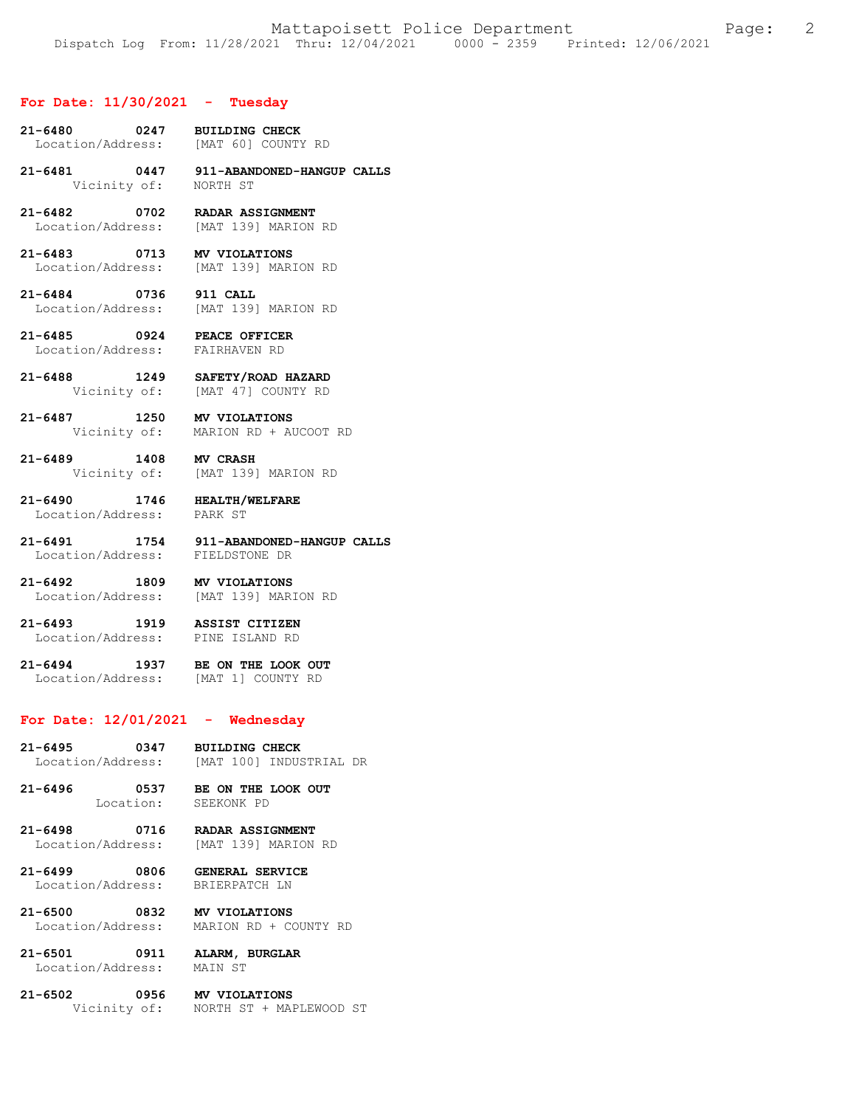#### **For Date: 11/30/2021 - Tuesday**

- **21-6480 0247 BUILDING CHECK**  Location/Address:
- **21-6481 0447 911-ABANDONED-HANGUP CALLS**  Vicinity of: NORTH ST
- **21-6482 0702 RADAR ASSIGNMENT**  Location/Address: [MAT 139] MARION RD
- **21-6483 0713 MV VIOLATIONS**  Location/Address: [MAT 139] MARION RD
- **21-6484 0736 911 CALL**  Location/Address: [MAT 139] MARION RD
- **21-6485 0924 PEACE OFFICER**  Location/Address: FAIRHAVEN RD
- **21-6488 1249 SAFETY/ROAD HAZARD**  Vicinity of: [MAT 47] COUNTY RD
- **21-6487 1250 MV VIOLATIONS**  Vicinity of: MARION RD + AUCOOT RD
- **21-6489 1408 MV CRASH**  Vicinity of: [MAT 139] MARION RD
- **21-6490 1746 HEALTH/WELFARE**  Location/Address:
	-
- **21-6491 1754 911-ABANDONED-HANGUP CALLS**  Location/Address:
- **21-6492 1809 MV VIOLATIONS**  Location/Address: [MAT 139] MARION RD
- **21-6493 1919 ASSIST CITIZEN**  Location/Address: PINE ISLAND RD
- **21-6494 1937 BE ON THE LOOK OUT**  Location/Address: [MAT 1] COUNTY RD

### **For Date: 12/01/2021 - Wednesday**

- **21-6495 0347 BUILDING CHECK**  Location/Address: [MAT 100] INDUSTRIAL DR
- **21-6496 0537 BE ON THE LOOK OUT**  Location: SEEKONK PD
	-

### **21-6498 0716 RADAR ASSIGNMENT**  Location/Address: [MAT 139] MARION RD

- **21-6499 0806 GENERAL SERVICE**  Location/Address: BRIERPATCH LN
- **21-6500 0832 MV VIOLATIONS**  Location/Address: MARION RD + COUNTY RD
- **21-6501 0911 ALARM, BURGLAR**  Location/Address:
- **21-6502 0956 MV VIOLATIONS**<br>Vicinity of: **NORTH ST + MAI** NORTH ST + MAPLEWOOD ST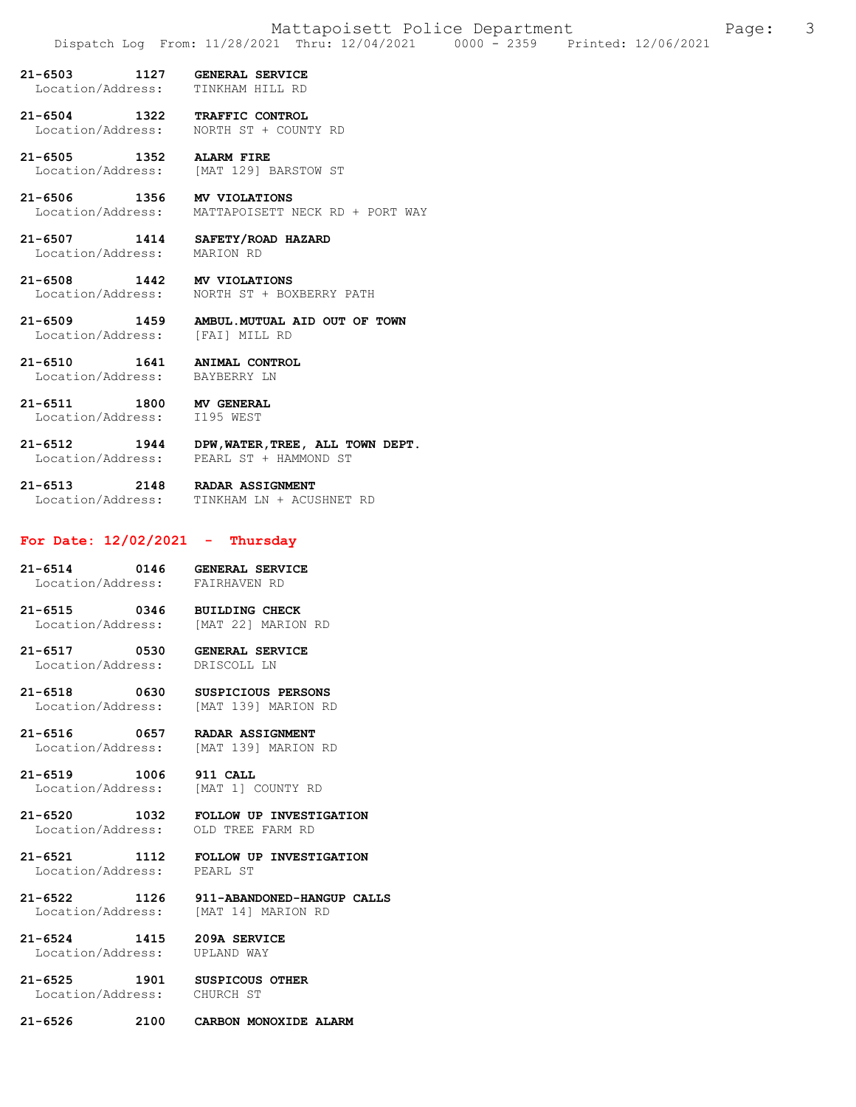**21-6503 1127 GENERAL SERVICE**  Location/Address:

**21-6504 1322 TRAFFIC CONTROL**  Location/Address:

**21-6505 1352 ALARM FIRE**  Location/Address: [MAT 129] BARSTOW ST

**21-6506 1356 MV VIOLATIONS**  Location/Address: MATTAPOISETT NECK RD + PORT WAY

**21-6507 1414 SAFETY/ROAD HAZARD**  Location/Address:

**21-6508 1442 MV VIOLATIONS**  NORTH ST + BOXBERRY PATH

**21-6509 1459 AMBUL.MUTUAL AID OUT OF TOWN**  Location/Address: [FAI] MILL RD

**21-6510 1641 ANIMAL CONTROL**  Location/Address:

**21-6511 1800 MV GENERAL**  Location/Address:

**21-6512 1944 DPW,WATER,TREE, ALL TOWN DEPT.**  PEARL ST + HAMMOND ST

**21-6513 2148 RADAR ASSIGNMENT**  TINKHAM LN + ACUSHNET RD

## **For Date: 12/02/2021 - Thursday**

**21-6514 0146 GENERAL SERVICE**  Location/Address:

**21-6515 0346 BUILDING CHECK**  [MAT 22] MARION RD

**21-6517 0530 GENERAL SERVICE**  Location/Address:

21-6518 0630 SUSPICIOUS PERSONS<br>
Location/Address: [MAT 139] MARION RD Location/Address:

**21-6516 0657 RADAR ASSIGNMENT**  Location/Address: [MAT 139] MARION RD

**21-6519 1006 911 CALL**  Location/Address: [MAT 1] COUNTY RD

**21-6520 1032 FOLLOW UP INVESTIGATION**  Location/Address:

**21-6521 1112 FOLLOW UP INVESTIGATION**  Location/Address:

**21-6522 1126 911-ABANDONED-HANGUP CALLS**  Location/Address: [MAT 14] MARION RD

**21-6524 1415 209A SERVICE**  Location/Address:

**21-6525 1901 SUSPICOUS OTHER**  Location/Address: CHURCH ST

**21-6526 2100 CARBON MONOXIDE ALARM**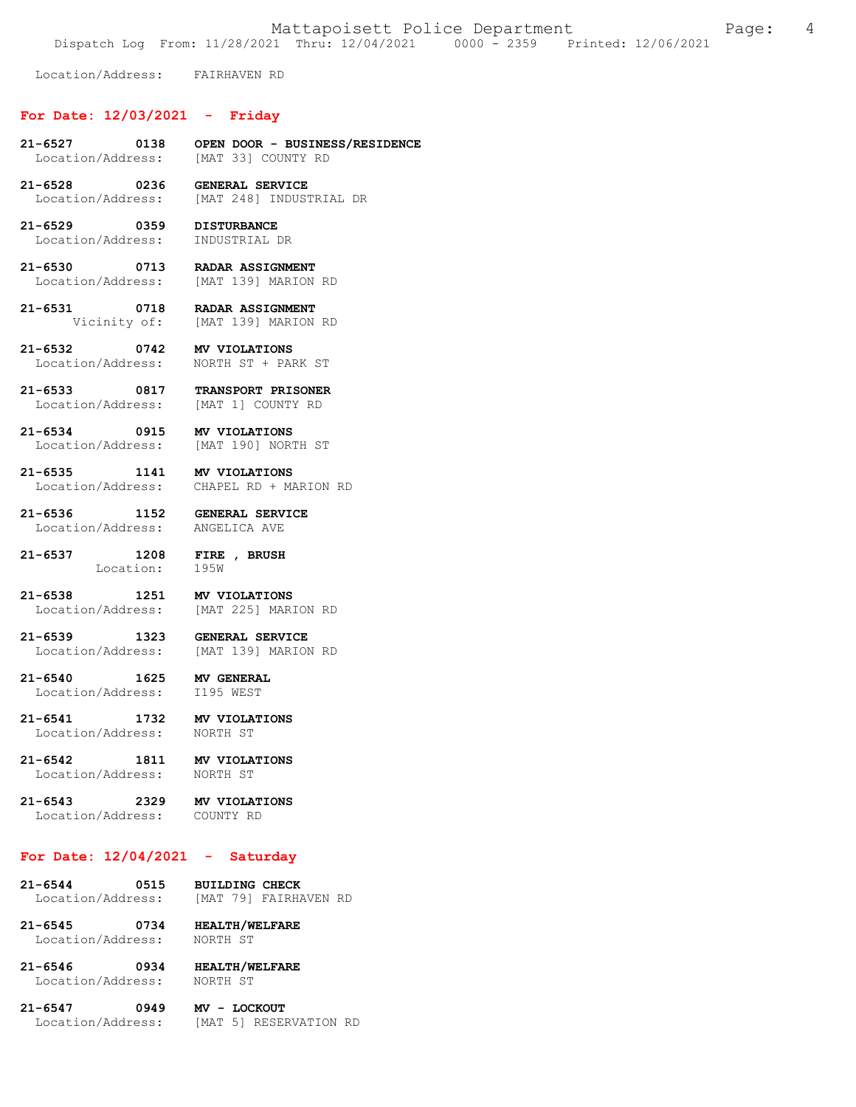Mattapoisett Police Department Fage: 4

Dispatch Log From: 11/28/2021 Thru: 12/04/2021 0000 - 2359 Printed: 12/06/2021

Location/Address: FAIRHAVEN RD

# **For Date: 12/03/2021 - Friday**

- **21-6527 0138 OPEN DOOR BUSINESS/RESIDENCE**  [MAT 33] COUNTY RD
- **21-6528 0236 GENERAL SERVICE**  [MAT 248] INDUSTRIAL DR
- **21-6529 0359 DISTURBANCE**  Location/Address: INDUSTRIAL DR

**21-6530 0713 RADAR ASSIGNMENT**  Location/Address: [MAT 139] MARION RD

**21-6531 0718 RADAR ASSIGNMENT**  [MAT 139] MARION RD

**21-6532 0742 MV VIOLATIONS**  Location/Address: NORTH ST + PARK ST

**21-6533 0817 TRANSPORT PRISONER**  Location/Address:

**21-6534 0915 MV VIOLATIONS**  Location/Address: [MAT 190] NORTH ST

**21-6535 1141 MV VIOLATIONS**  Location/Address: CHAPEL RD + MARION RD

**21-6536 1152 GENERAL SERVICE**  Location/Address:

**21-6537 1208 FIRE , BRUSH**  Location:

**21-6538 1251 MV VIOLATIONS**  [MAT 225] MARION RD

**21-6539 1323 GENERAL SERVICE**  Location/Address: [MAT 139] MARION RD

**21-6540 1625 MV GENERAL**  Location/Address:

**21-6541 1732 MV VIOLATIONS**  Location/Address: NORTH ST

**21-6542 1811 MV VIOLATIONS**  Location/Address:

**21-6543 2329 MV VIOLATIONS**  Location/Address: COUNTY RD

## **For Date: 12/04/2021 - Saturday**

21-6544 0515 BUILDING CHECK<br>Location/Address: [MAT 79] FAIRHAVEN RD Location/Address:

**21-6545 0734 HEALTH/WELFARE**  Location/Address: NORTH ST

**21-6546 0934 HEALTH/WELFARE**  Location/Address:

**21-6547 0949 MV - LOCKOUT**  Location/Address: [MAT 5] RESERVATION RD